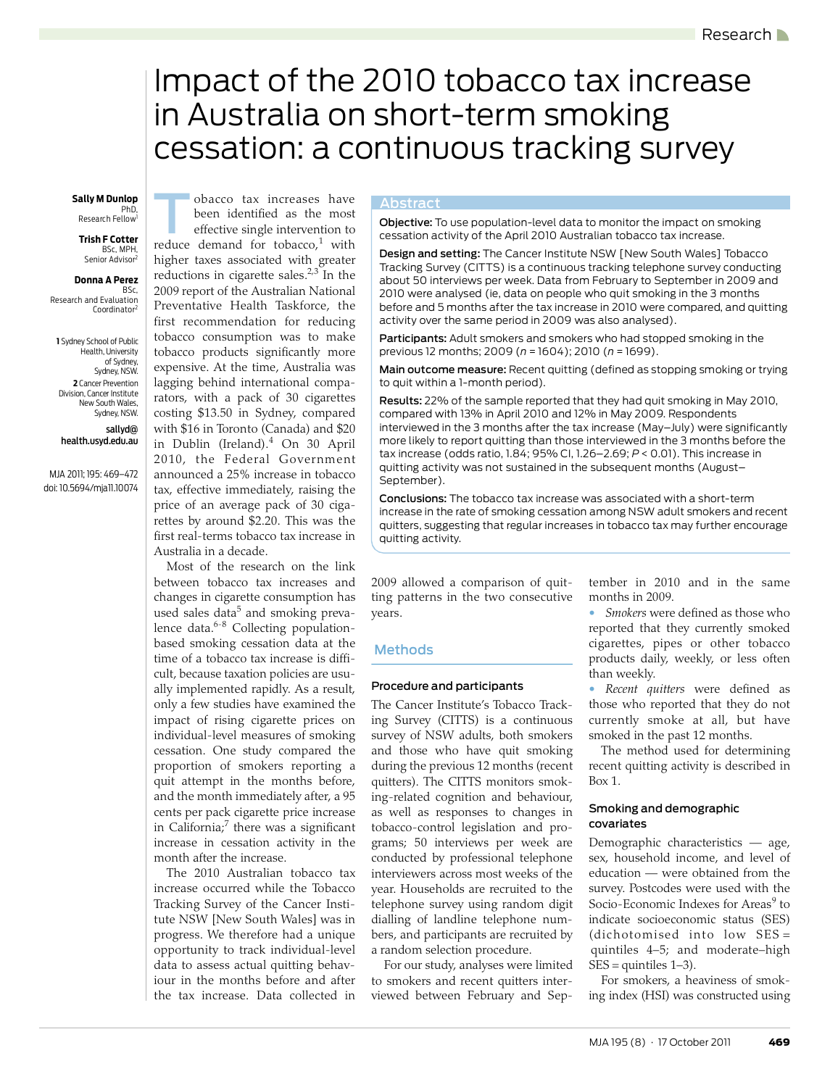# <span id="page-0-0"></span>Impact of the 2010 tobacco tax increase in Australia on short-term smoking cessation: a continuous tracking survey

#### **Sally M Dunlop Cobacco tax increases have Abstract** PhD,

Research Fellow<sup>1</sup>

#### **Trish F Cotter** BSc, MPH, Senior Advisor

#### **Donna A Perez**

 BSc, Research and Evaluation Coordinator

 **1** Sydney School of Public Health, University of Sydney, Sydney, NSW.  **2** Cancer Prevention Division, Cancer Institute New South Wales, Sydney, NSW.

sallyd@ health.usyd.edu.au

MJA 2011; 195: [469](#page-0-0)[–472](#page-3-9) doi: 10.5694/mja11.10074

effective single intervention to reduce demand for tobacco,<sup>[1](#page-3-0)</sup> with higher taxes associated with greater reductions in cigarette sales.<sup>[2,](#page-3-1)[3](#page-3-2)</sup> In the 2009 report of the Australian National Preventative Health Taskforce, the first recommendation for reducing tobacco consumption was to make tobacco products significantly more expensive. At the time, Australia was lagging behind international comparators, with a pack of 30 cigarettes costing \$13.50 in Sydney, compared with \$16 in Toronto (Canada) and \$20 in Dublin (Ireland).[4](#page-3-3) On 30 April 2010, the Federal Government announced a 25% increase in tobacco tax, effective immediately, raising the price of an average pack of 30 cigarettes by around \$2.20. This was the first real-terms tobacco tax increase in Australia in a decade.

been identified as the most

cents per pack cigarette price increase  $\int$  in California;<sup>7</sup> there was a significant increase in cessation activity in the ww.mi Most of the research on the link between tobacco tax increases and changes in cigarette consumption has used sales data<sup>[5](#page-3-4)</sup> and smoking preva-lence data.<sup>6[-8](#page-3-6)</sup> Collecting populationbased smoking cessation data at the time of a tobacco tax increase is difficult, because taxation policies are usually implemented rapidly. As a result, only a few studies have examined the impact of rising cigarette prices on individual-level measures of smoking cessation. One study compared the proportion of smokers reporting a quit attempt in the months before, and the month immediately after, a 95 month after the increase.

> The 2010 Australian tobacco tax increase occurred while the Tobacco Tracking Survey of the Cancer Institute NSW [New South Wales] was in progress. We therefore had a unique opportunity to track individual-level data to assess actual quitting behaviour in the months before and after the tax increase. Data collected in

Abstract<br>**Objective:** To use population-level data to monitor the impact on smoking cessation activity of the April 2010 Australian tobacco tax increase.

Design and setting: The Cancer Institute NSW [New South Wales] Tobacco Tracking Survey (CITTS) is a continuous tracking telephone survey conducting about 50 interviews per week. Data from February to September in 2009 and 2010 were analysed (ie, data on people who quit smoking in the 3 months before and 5 months after the tax increase in 2010 were compared, and quitting activity over the same period in 2009 was also analysed).

Participants: Adult smokers and smokers who had stopped smoking in the previous 12 months; 2009 (*n* = 1604); 2010 (*n* = 1699).

Main outcome measure: Recent quitting (defined as stopping smoking or trying to quit within a 1-month period).

Results: 22% of the sample reported that they had quit smoking in May 2010, compared with 13% in April 2010 and 12% in May 2009. Respondents interviewed in the 3 months after the tax increase (May–July) were significantly more likely to report quitting than those interviewed in the 3 months before the tax increase (odds ratio, 1.84; 95% CI, 1.26–2.69; *P* < 0.01). This increase in quitting activity was not sustained in the subsequent months (August– September).

Conclusions: The tobacco tax increase was associated with a short-term increase in the rate of smoking cessation among NSW adult smokers and recent quitters, suggesting that regular increases in tobacco tax may further encourage quitting activity.

2009 allowed a comparison of quitting patterns in the two consecutive years.

### Methods

#### Procedure and participants

The Cancer Institute's Tobacco Tracking Survey (CITTS) is a continuous survey of NSW adults, both smokers and those who have quit smoking during the previous 12 months (recent quitters). The CITTS monitors smoking-related cognition and behaviour, as well as responses to changes in tobacco-control legislation and programs; 50 interviews per week are conducted by professional telephone interviewers across most weeks of the year. Households are recruited to the telephone survey using random digit dialling of landline telephone numbers, and participants are recruited by a random selection procedure.

For our study, analyses were limited to smokers and recent quitters interviewed between February and September in 2010 and in the same months in 2009.

• *Smokers* were defined as those who reported that they currently smoked cigarettes, pipes or other tobacco products daily, weekly, or less often than weekly.

• *Recent quitters* were defined as those who reported that they do not currently smoke at all, but have smoked in the past 12 months.

The method used for determining recent quitting activity is described in [Box 1](#page-1-0).

#### Smoking and demographic covariates

Demographic characteristics — age, sex, household income, and level of education — were obtained from the survey. Postcodes were used with the Socio-Economic Indexes for Areas<sup>[9](#page-3-8)</sup> to indicate socioeconomic status (SES) (dichotomised into low SES = quintiles 4–5; and moderate–high  $SES =$  quintiles  $1-3$ ).

For smokers, a heaviness of smoking index (HSI) was constructed using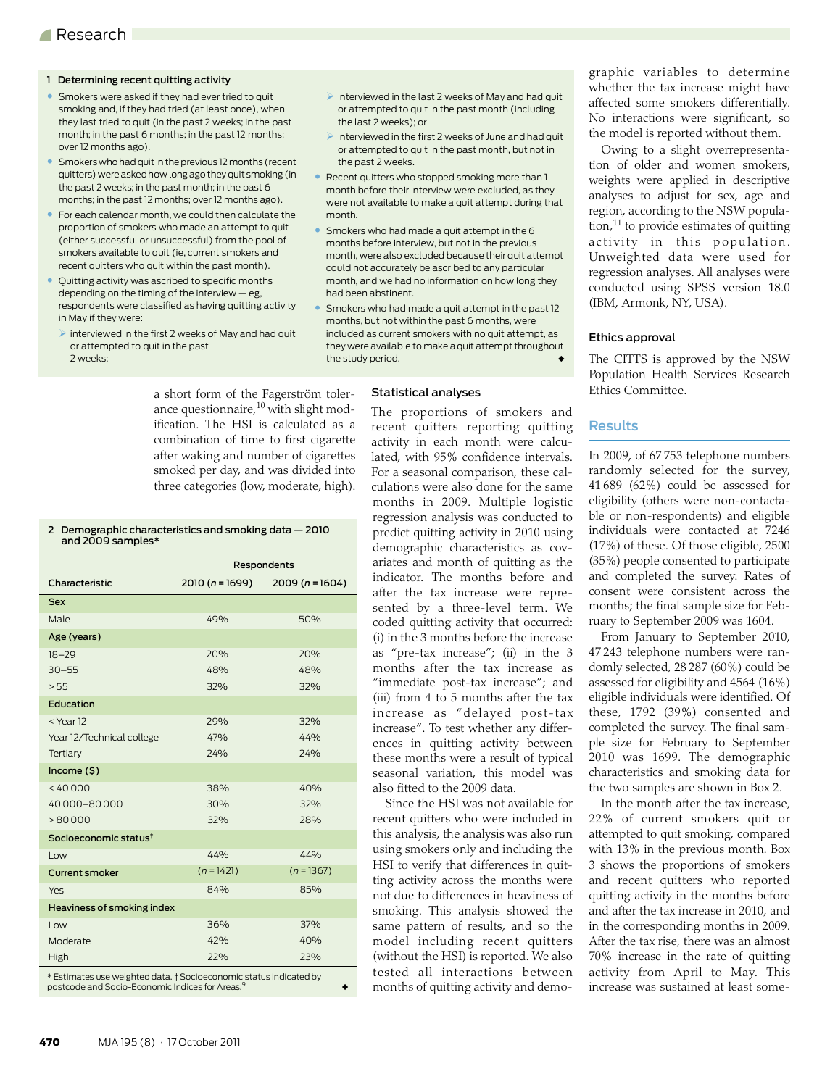#### <span id="page-1-0"></span>1 Determining recent quitting activity

- Smokers were asked if they had ever tried to quit smoking and, if they had tried (at least once), when they last tried to quit (in the past 2 weeks; in the past month; in the past 6 months; in the past 12 months; over 12 months ago).
- Smokers who had quit in the previous 12 months (recent quitters) were asked how long ago they quit smoking (in the past 2 weeks; in the past month; in the past 6 months; in the past 12 months; over 12 months ago).
- For each calendar month, we could then calculate the proportion of smokers who made an attempt to quit (either successful or unsuccessful) from the pool of smokers available to quit (ie, current smokers and recent quitters who quit within the past month).
- Quitting activity was ascribed to specific months depending on the timing of the interview — eg, respondents were classified as having quitting activity in May if they were:
- $\triangleright$  interviewed in the first 2 weeks of May and had quit or attempted to quit in the past 2 weeks;

a short form of the Fagerström tolerance questionnaire, $^{10}$  $^{10}$  $^{10}$  with slight modification. The HSI is calculated as a combination of time to first cigarette after waking and number of cigarettes smoked per day, and was divided into three categories (low, moderate, high).

## 2 Demographic characteristics and smoking data — 2010 and 2009 samples\*

|                                                   | Respondents      |                |  |
|---------------------------------------------------|------------------|----------------|--|
| Characteristic                                    | $2010(n = 1699)$ | $2009(n=1604)$ |  |
| <b>Sex</b>                                        |                  |                |  |
| Male                                              | 49%              | 50%            |  |
| Age (years)                                       |                  |                |  |
| $18 - 29$                                         | 20%              | 20%            |  |
| $30 - 55$                                         | 48%              | 48%            |  |
| > 55                                              | 32%              | 32%            |  |
| Education                                         |                  |                |  |
| <year12< td=""><td>29%</td><td>32%</td></year12<> | 29%              | 32%            |  |
| Year 12/Technical college                         | 47%              | 44%            |  |
| Tertiary                                          | 24%              | 24%            |  |
| Income $(5)$                                      |                  |                |  |
| < 40000                                           | 38%              | 40%            |  |
| 40000-80000                                       | 30%              | 32%            |  |
| >80000                                            | 32%              | 28%            |  |
| Socioeconomic status <sup>†</sup>                 |                  |                |  |
| Low                                               | 44%              | 44%            |  |
| <b>Current smoker</b>                             | $(n = 1421)$     | $(n = 1367)$   |  |
| Yes                                               | 84%              | 85%            |  |
| Heaviness of smoking index                        |                  |                |  |
| Low                                               | 36%              | 37%            |  |
| Moderate                                          | 42%              | 40%            |  |
| <b>High</b>                                       | 22%              | 23%            |  |

\* Estimates use weighted data. † Socioeconomic status indicated by postcode and Socio-Economic Indices for Areas.<sup>9</sup> ◆

- $\triangleright$  interviewed in the last 2 weeks of May and had quit or attempted to quit in the past month (including the last 2 weeks); or
- $\triangleright$  interviewed in the first 2 weeks of June and had quit or attempted to quit in the past month, but not in the past 2 weeks.
- Recent quitters who stopped smoking more than 1 month before their interview were excluded, as they were not available to make a quit attempt during that month.
- Smokers who had made a quit attempt in the 6 months before interview, but not in the previous month, were also excluded because their quit attempt could not accurately be ascribed to any particular month, and we had no information on how long they had been abstinent.
- Smokers who had made a quit attempt in the past 12 months, but not within the past 6 months, were included as current smokers with no quit attempt, as they were available to make a quit attempt throughout the study period.

#### Statistical analyses

The proportions of smokers and recent quitters reporting quitting activity in each month were calculated, with 95% confidence intervals. For a seasonal comparison, these calculations were also done for the same months in 2009. Multiple logistic regression analysis was conducted to predict quitting activity in 2010 using demographic characteristics as covariates and month of quitting as the indicator. The months before and after the tax increase were represented by a three-level term. We coded quitting activity that occurred: (i) in the 3 months before the increase as "pre-tax increase"; (ii) in the 3 months after the tax increase as "immediate post-tax increase"; and (iii) from 4 to 5 months after the tax increase as "delayed post-tax increase". To test whether any differences in quitting activity between these months were a result of typical seasonal variation, this model was also fitted to the 2009 data.

Since the HSI was not available for recent quitters who were included in this analysis, the analysis was also run using smokers only and including the HSI to verify that differences in quitting activity across the months were not due to differences in heaviness of smoking. This analysis showed the same pattern of results, and so the model including recent quitters (without the HSI) is reported. We also tested all interactions between months of quitting activity and demographic variables to determine whether the tax increase might have affected some smokers differentially. No interactions were significant, so the model is reported without them.

Owing to a slight overrepresentation of older and women smokers, weights were applied in descriptive analyses to adjust for sex, age and region, according to the NSW population, $^{11}$  to provide estimates of quitting activity in this population. Unweighted data were used for regression analyses. All analyses were conducted using SPSS version 18.0 (IBM, Armonk, NY, USA).

#### Ethics approval

The CITTS is approved by the NSW Population Health Services Research Ethics Committee.

#### Results

In 2009, of 67 753 telephone numbers randomly selected for the survey, 41 689 (62%) could be assessed for eligibility (others were non-contactable or non-respondents) and eligible individuals were contacted at 7246 (17%) of these. Of those eligible, 2500 (35%) people consented to participate and completed the survey. Rates of consent were consistent across the months; the final sample size for February to September 2009 was 1604.

From January to September 2010, 47 243 telephone numbers were randomly selected, 28 287 (60%) could be assessed for eligibility and 4564 (16%) eligible individuals were identified. Of these, 1792 (39%) consented and completed the survey. The final sample size for February to September 2010 was 1699. The demographic characteristics and smoking data for the two samples are shown in Box 2.

In the month after the tax increase, 22% of current smokers quit or attempted to quit smoking, compared with 13% in the previous month. Box 3 shows the proportions of smokers and recent quitters who reported quitting activity in the months before and after the tax increase in 2010, and in the corresponding months in 2009. After the tax rise, there was an almost 70% increase in the rate of quitting activity from April to May. This increase was sustained at least some-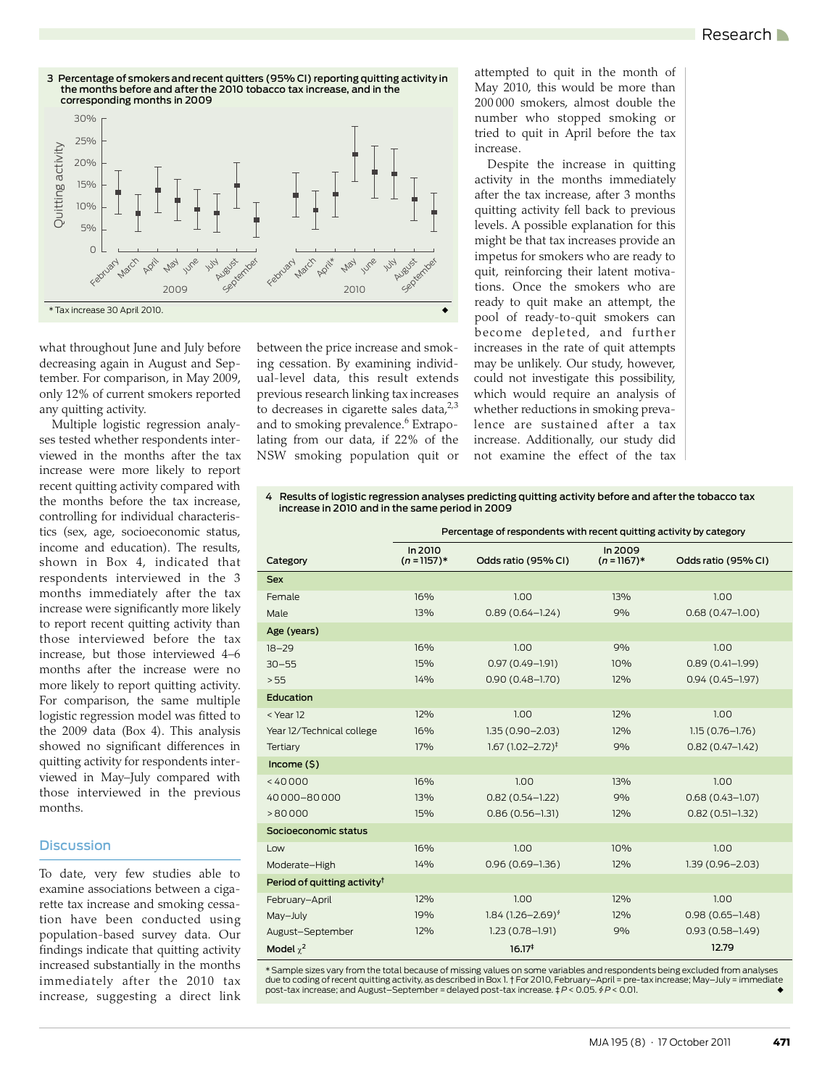

what throughout June and July before decreasing again in August and September. For comparison, in May 2009, only 12% of current smokers reported any quitting activity.

Multiple logistic regression analyses tested whether respondents interviewed in the months after the tax increase were more likely to report recent quitting activity compared with the months before the tax increase, controlling for individual characteristics (sex, age, socioeconomic status, income and education). The results, shown in Box 4, indicated that respondents interviewed in the 3 months immediately after the tax increase were significantly more likely to report recent quitting activity than those interviewed before the tax increase, but those interviewed 4–6 months after the increase were no more likely to report quitting activity. For comparison, the same multiple logistic regression model was fitted to the 2009 data (Box 4). This analysis showed no significant differences in quitting activity for respondents interviewed in May–July compared with those interviewed in the previous months.

#### **Discussion**

To date, very few studies able to examine associations between a cigarette tax increase and smoking cessation have been conducted using population-based survey data. Our findings indicate that quitting activity increased substantially in the months immediately after the 2010 tax increase, suggesting a direct link between the price increase and smoking cessation. By examining individual-level data, this result extends previous research linking tax increases to decreases in cigarette sales data, $2^{3}$  $2^{3}$  $2^{3}$ and to smoking prevalence.<sup>6</sup> Extrapolating from our data, if 22% of the NSW smoking population quit or attempted to quit in the month of May 2010, this would be more than 200 000 smokers, almost double the number who stopped smoking or tried to quit in April before the tax increase.

Despite the increase in quitting activity in the months immediately after the tax increase, after 3 months quitting activity fell back to previous levels. A possible explanation for this might be that tax increases provide an impetus for smokers who are ready to quit, reinforcing their latent motivations. Once the smokers who are ready to quit make an attempt, the pool of ready-to-quit smokers can become depleted, and further increases in the rate of quit attempts may be unlikely. Our study, however, could not investigate this possibility, which would require an analysis of whether reductions in smoking prevalence are sustained after a tax increase. Additionally, our study did not examine the effect of the tax

#### 4 Results of logistic regression analyses predicting quitting activity before and after the tobacco tax increase in 2010 and in the same period in 2009

|                                          | Percentage of respondents with recent quitting activity by category |                                |                          |                     |
|------------------------------------------|---------------------------------------------------------------------|--------------------------------|--------------------------|---------------------|
| Category                                 | In 2010<br>$(n = 1157)*$                                            | Odds ratio (95% CI)            | In 2009<br>$(n = 1167)*$ | Odds ratio (95% CI) |
| <b>Sex</b>                               |                                                                     |                                |                          |                     |
| Female                                   | 16%                                                                 | 1.00                           | 13%                      | 1.00                |
| Male                                     | 13%                                                                 | $0.89(0.64 - 1.24)$            | 9%                       | $0.68(0.47-1.00)$   |
| Age (years)                              |                                                                     |                                |                          |                     |
| $18 - 29$                                | 16%                                                                 | 1.00                           | 9%                       | 1.00                |
| $30 - 55$                                | 15%                                                                 | $0.97(0.49 - 1.91)$            | 10%                      | $0.89(0.41 - 1.99)$ |
| > 55                                     | 14%                                                                 | $0.90(0.48 - 1.70)$            | 12%                      | $0.94(0.45 - 1.97)$ |
| Education                                |                                                                     |                                |                          |                     |
| < Year 12                                | 12%                                                                 | 1.00                           | 12%                      | 1.00                |
| Year 12/Technical college                | 16%                                                                 | $1.35(0.90 - 2.03)$            | 12%                      | $1.15(0.76 - 1.76)$ |
| Tertiary                                 | 17%                                                                 | $1.67(1.02 - 2.72)^{\ddagger}$ | 9%                       | $0.82(0.47 - 1.42)$ |
| Income $(5)$                             |                                                                     |                                |                          |                     |
| < 40000                                  | 16%                                                                 | 1.00                           | 13%                      | 1.00                |
| 40000-80000                              | 13%                                                                 | $0.82(0.54 - 1.22)$            | 9%                       | $0.68(0.43 - 1.07)$ |
| >80000                                   | 15%                                                                 | $0.86(0.56 - 1.31)$            | 12%                      | $0.82(0.51 - 1.32)$ |
| Socioeconomic status                     |                                                                     |                                |                          |                     |
| Low                                      | 16%                                                                 | 1.00                           | 10%                      | 1.00                |
| Moderate-High                            | 14%                                                                 | $0.96(0.69 - 1.36)$            | 12%                      | $1.39(0.96 - 2.03)$ |
| Period of quitting activity <sup>†</sup> |                                                                     |                                |                          |                     |
| February-April                           | 12%                                                                 | 1.00                           | 12%                      | 1.00                |
| May-July                                 | 19%                                                                 | 1.84 $(1.26 - 2.69)^{6}$       | 12%                      | $0.98(0.65 - 1.48)$ |
| August-September                         | 12%                                                                 | $1.23(0.78 - 1.91)$            | 9%                       | $0.93(0.58 - 1.49)$ |
| Model $\chi^2$                           |                                                                     | 16.17 <sup>‡</sup>             |                          | 12.79               |

\* Sample sizes vary from the total because of missing values on some variables and respondents being excluded from analyses due to coding of recent quitting activity, as described in Box 1.†For 2010, February–April = pre-tax increase; May–July = immediate<br>post-tax increase; and August–September = delayed post-tax increase. ‡*P* < 0.05. ∮*P* <